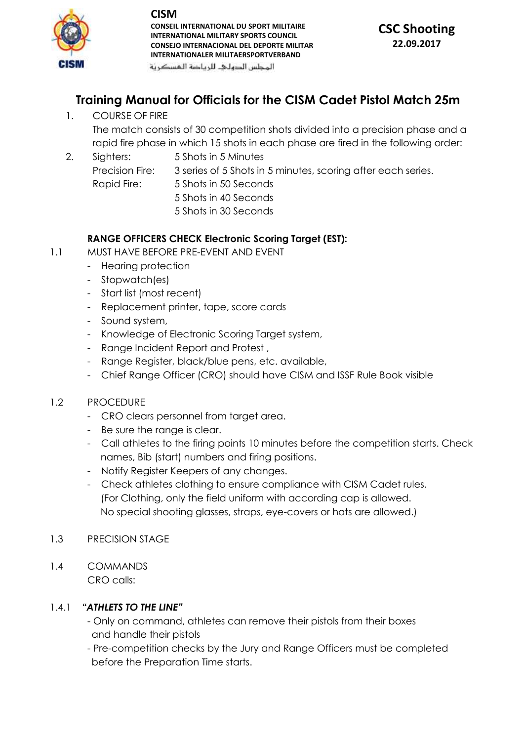

**CONSEIL INTERNATIONAL DU SPORT MILITAIRE INTERNATIONAL MILITARY SPORTS COUNCIL CONSEJO INTERNACIONAL DEL DEPORTE MILITAR INTERNATIONALER MILITAERSPORTVERBAND**

## **CSC Shooting 22.09.2017**

المحلس الدهلى للرياضة المسكرنة

# **Training Manual for Officials for the CISM Cadet Pistol Match 25m**

1. COURSE OF FIRE

The match consists of 30 competition shots divided into a precision phase and a rapid fire phase in which 15 shots in each phase are fired in the following order:

- 2. Sighters: 5 Shots in 5 Minutes
	-
	- Precision Fire: 3 series of 5 Shots in 5 minutes, scoring after each series.
	- Rapid Fire: 5 Shots in 50 Seconds 5 Shots in 40 Seconds
		-
		- 5 Shots in 30 Seconds

### **RANGE OFFICERS CHECK Electronic Scoring Target (EST):**

- 1.1 MUST HAVE BEFORE PRE-EVENT AND EVENT
	- Hearing protection
	- Stopwatch(es)
	- Start list (most recent)
	- Replacement printer, tape, score cards
	- Sound system,
	- Knowledge of Electronic Scoring Target system,
	- Range Incident Report and Protest ,
	- Range Register, black/blue pens, etc. available,
	- Chief Range Officer (CRO) should have CISM and ISSF Rule Book visible

#### 1.2 PROCEDURE

- CRO clears personnel from target area.
- Be sure the range is clear.
- Call athletes to the firing points 10 minutes before the competition starts. Check names, Bib (start) numbers and firing positions.
- Notify Register Keepers of any changes.
- Check athletes clothing to ensure compliance with CISM Cadet rules. (For Clothing, only the field uniform with according cap is allowed. No special shooting glasses, straps, eye-covers or hats are allowed.)
- 1.3 PRECISION STAGE
- 1.4 COMMANDS CRO calls:

### 1.4.1 *"ATHLETS TO THE LINE"*

- Only on command, athletes can remove their pistols from their boxes and handle their pistols
- Pre-competition checks by the Jury and Range Officers must be completed before the Preparation Time starts.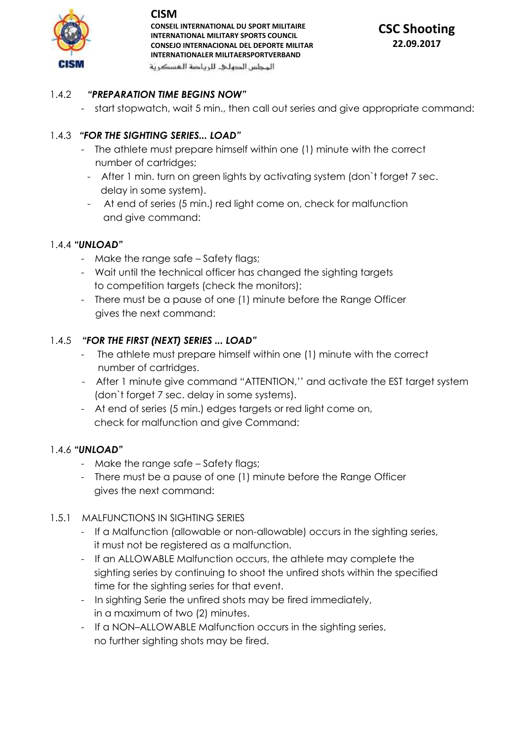

**CONSEIL INTERNATIONAL DU SPORT MILITAIRE INTERNATIONAL MILITARY SPORTS COUNCIL CONSEJO INTERNACIONAL DEL DEPORTE MILITAR INTERNATIONALER MILITAERSPORTVERBAND**

**CSC Shooting 22.09.2017**

المحلس الدهلى للرياضة المسكرنة

### 1.4.2 *"PREPARATION TIME BEGINS NOW"*

- start stopwatch, wait 5 min., then call out series and give appropriate command:

### 1.4.3 *"FOR THE SIGHTING SERIES... LOAD"*

- The athlete must prepare himself within one (1) minute with the correct number of cartridges;
	- After 1 min. turn on green lights by activating system (don`t forget 7 sec. delay in some system).
	- At end of series (5 min.) red light come on, check for malfunction and give command:

#### 1.4.4 *"UNLOAD"*

- Make the range safe Safety flags;
- Wait until the technical officer has changed the sighting targets to competition targets (check the monitors);
- There must be a pause of one (1) minute before the Range Officer gives the next command:

#### 1.4.5 *"FOR THE FIRST (NEXT) SERIES ... LOAD"*

- The athlete must prepare himself within one (1) minute with the correct number of cartridges.
- After 1 minute give command "ATTENTION,'' and activate the EST target system (don`t forget 7 sec. delay in some systems).
- At end of series (5 min.) edges targets or red light come on, check for malfunction and give Command:

#### 1.4.6 *"UNLOAD"*

- Make the range safe Safety flags;
- There must be a pause of one (1) minute before the Range Officer gives the next command:

#### 1.5.1 MALFUNCTIONS IN SIGHTING SERIES

- If a Malfunction (allowable or non-allowable) occurs in the sighting series, it must not be registered as a malfunction.
- If an ALLOWABLE Malfunction occurs, the athlete may complete the sighting series by continuing to shoot the unfired shots within the specified time for the sighting series for that event.
- In sighting Serie the unfired shots may be fired immediately, in a maximum of two (2) minutes.
- If a NON-ALLOWABLE Malfunction occurs in the sighting series, no further sighting shots may be fired.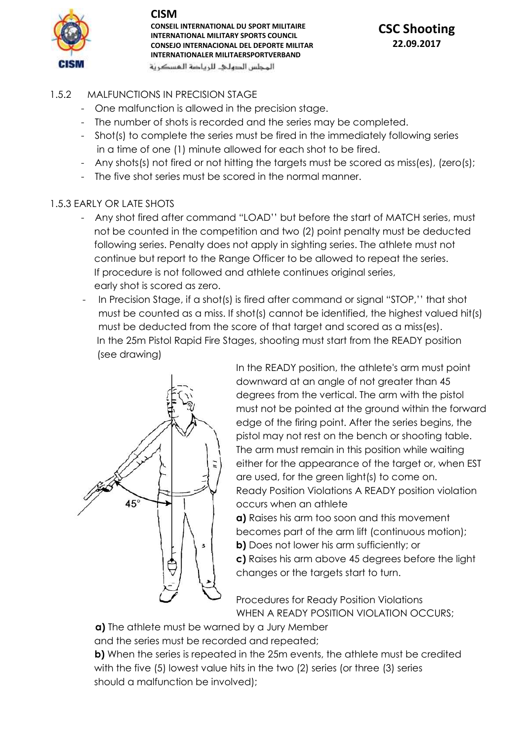

**CONSEIL INTERNATIONAL DU SPORT MILITAIRE INTERNATIONAL MILITARY SPORTS COUNCIL CONSEJO INTERNACIONAL DEL DEPORTE MILITAR INTERNATIONALER MILITAERSPORTVERBAND**

المحلس الدهلى للرياضة المسكرنة

# **CSC Shooting 22.09.2017**

- 1.5.2 MALFUNCTIONS IN PRECISION STAGE
	- One malfunction is allowed in the precision stage.
	- The number of shots is recorded and the series may be completed.
	- Shot(s) to complete the series must be fired in the immediately following series in a time of one (1) minute allowed for each shot to be fired.
	- Any shots(s) not fired or not hitting the targets must be scored as miss(es), (zero(s);
	- The five shot series must be scored in the normal manner.

#### 1.5.3 EARLY OR LATE SHOTS

- Any shot fired after command "LOAD'' but before the start of MATCH series, must not be counted in the competition and two (2) point penalty must be deducted following series. Penalty does not apply in sighting series. The athlete must not continue but report to the Range Officer to be allowed to repeat the series. If procedure is not followed and athlete continues original series, early shot is scored as zero.
- In Precision Stage, if a shot(s) is fired after command or signal "STOP," that shot must be counted as a miss. If shot(s) cannot be identified, the highest valued hit(s) must be deducted from the score of that target and scored as a miss(es). In the 25m Pistol Rapid Fire Stages, shooting must start from the READY position (see drawing)



In the READY position, the athlete's arm must point downward at an angle of not greater than 45 degrees from the vertical. The arm with the pistol must not be pointed at the ground within the forward edge of the firing point. After the series begins, the pistol may not rest on the bench or shooting table. The arm must remain in this position while waiting either for the appearance of the target or, when EST are used, for the green light(s) to come on. Ready Position Violations A READY position violation occurs when an athlete

**a)** Raises his arm too soon and this movement becomes part of the arm lift (continuous motion); **b)** Does not lower his arm sufficiently; or **c)** Raises his arm above 45 degrees before the light changes or the targets start to turn.

Procedures for Ready Position Violations WHEN A READY POSITION VIOLATION OCCURS;

**a)** The athlete must be warned by a Jury Member

and the series must be recorded and repeated;

**b)** When the series is repeated in the 25m events, the athlete must be credited with the five (5) lowest value hits in the two (2) series (or three (3) series should a malfunction be involved);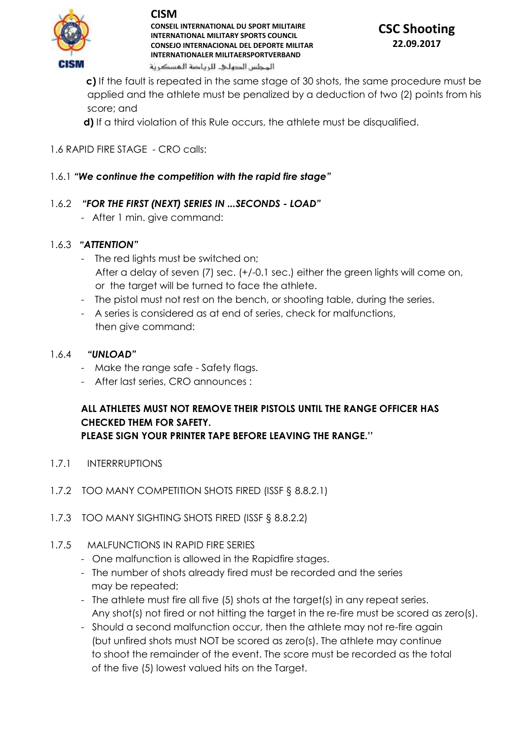

**CONSEIL INTERNATIONAL DU SPORT MILITAIRE INTERNATIONAL MILITARY SPORTS COUNCIL CONSEJO INTERNACIONAL DEL DEPORTE MILITAR INTERNATIONALER MILITAERSPORTVERBAND** المحلس الدهلى للرياضة المسكرنة

# **CSC Shooting 22.09.2017**

 **c)** If the fault is repeated in the same stage of 30 shots, the same procedure must be applied and the athlete must be penalized by a deduction of two (2) points from his score; and

**d)** If a third violation of this Rule occurs, the athlete must be disqualified.

## 1.6 RAPID FIRE STAGE - CRO calls:

## 1.6.1 *"We continue the competition with the rapid fire stage"*

## 1.6.2 *"FOR THE FIRST (NEXT) SERIES IN ...SECONDS - LOAD"*

- After 1 min. give command:

## 1.6.3 *"ATTENTION"*

- The red lights must be switched on; After a delay of seven (7) sec. (+/-0.1 sec.) either the green lights will come on, or the target will be turned to face the athlete.
- The pistol must not rest on the bench, or shooting table, during the series.
- A series is considered as at end of series, check for malfunctions, then give command:

## 1.6.4 *"UNLOAD"*

- Make the range safe Safety flags.
- After last series, CRO announces :

# **ALL ATHLETES MUST NOT REMOVE THEIR PISTOLS UNTIL THE RANGE OFFICER HAS CHECKED THEM FOR SAFETY.**

**PLEASE SIGN YOUR PRINTER TAPE BEFORE LEAVING THE RANGE.''** 

- 1.7.1 INTERRRUPTIONS
- 1.7.2 TOO MANY COMPETITION SHOTS FIRED (ISSF § 8.8.2.1)
- 1.7.3 TOO MANY SIGHTING SHOTS FIRED (ISSF § 8.8.2.2)
- 1.7.5 MALFUNCTIONS IN RAPID FIRE SERIES
	- One malfunction is allowed in the Rapidfire stages.
	- The number of shots already fired must be recorded and the series may be repeated;
	- The athlete must fire all five (5) shots at the target(s) in any repeat series. Any shot(s) not fired or not hitting the target in the re-fire must be scored as zero(s).
	- Should a second malfunction occur, then the athlete may not re-fire again (but unfired shots must NOT be scored as zero(s). The athlete may continue to shoot the remainder of the event. The score must be recorded as the total of the five (5) lowest valued hits on the Target.